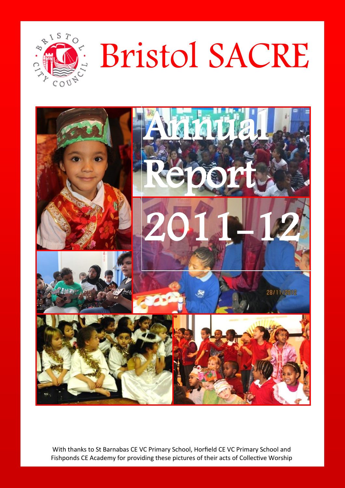

# Bristol SACRE



With thanks to St Barnabas CE VC Primary School, Horfield CE VC Primary School and Fishponds CE Academy for providing these pictures of their acts of Collective Worship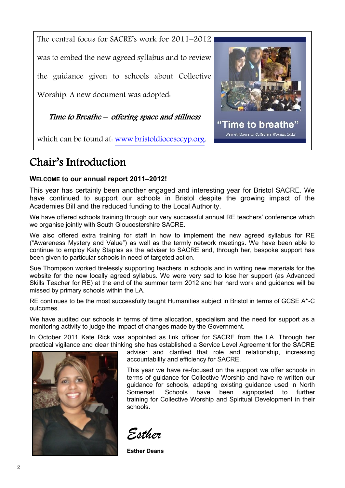The central focus for SACRE's work for 2011–2012 was to embed the new agreed syllabus and to review the guidance given to schools about Collective Worship. A new document was adopted: Time to Breathe – offering space and stillness "Time to breathe"

which can be found at: [www.bristoldiocesecyp.org.](http://www.bristoldiocesecyp.org/index.php/search?q=collective+worship+guidance)

# Chair's Introduction

## **WELCOME to our annual report 2011–2012!**

This year has certainly been another engaged and interesting year for Bristol SACRE. We have continued to support our schools in Bristol despite the growing impact of the Academies Bill and the reduced funding to the Local Authority.

We have offered schools training through our very successful annual RE teachers' conference which we organise jointly with South Gloucestershire SACRE.

We also offered extra training for staff in how to implement the new agreed syllabus for RE ("Awareness Mystery and Value") as well as the termly network meetings. We have been able to continue to employ Katy Staples as the adviser to SACRE and, through her, bespoke support has been given to particular schools in need of targeted action.

Sue Thompson worked tirelessly supporting teachers in schools and in writing new materials for the website for the new locally agreed syllabus. We were very sad to lose her support (as Advanced Skills Teacher for RE) at the end of the summer term 2012 and her hard work and guidance will be missed by primary schools within the LA.

RE continues to be the most successfully taught Humanities subject in Bristol in terms of GCSE A\*-C outcomes.

We have audited our schools in terms of time allocation, specialism and the need for support as a monitoring activity to judge the impact of changes made by the Government.

In October 2011 Kate Rick was appointed as link officer for SACRE from the LA. Through her practical vigilance and clear thinking she has established a Service Level Agreement for the SACRE



adviser and clarified that role and relationship, increasing accountability and efficiency for SACRE.

New Guidance on Collective Worship 2012

This year we have re-focused on the support we offer schools in terms of guidance for Collective Worship and have re-written our guidance for schools, adapting existing guidance used in North Somerset. Schools have been signposted to further training for Collective Worship and Spiritual Development in their schools.

*Esther*

**Esther Deans** 

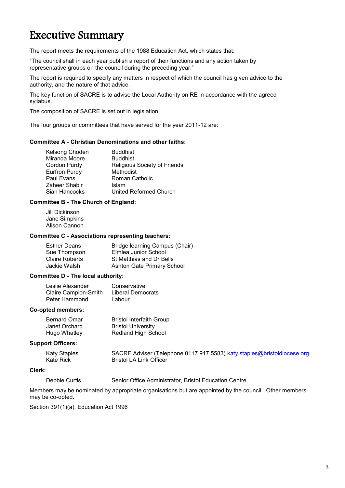## Executive Summary

The report meets the requirements of the 1988 Education Act, which states that:

"The council shall in each year publish a report of their functions and any action taken by representative groups on the council during the preceding year."

The report is required to specify any matters in respect of which the council has given advice to the authority, and the nature of that advice.

The key function of SACRE is to advise the Local Authority on RE in accordance with the agreed syllabus.

The composition of SACRE is set out in legislation.

The four groups or committees that have served for the year 2011-12 are:

#### **Committee A - Christian Denominations and other faiths:**

| Kelsong Choden | <b>Buddhist</b>              |
|----------------|------------------------------|
| Miranda Moore  | <b>Buddhist</b>              |
| Gordon Purdy   | Religious Society of Friends |
| Eurfron Purdy  | Methodist                    |
| Paul Evans     | Roman Catholic               |
| Zaheer Shabir  | Islam                        |
| Sian Hancocks  | United Reformed Church       |

#### **Committee B - The Church of England:**

Jill Dickinson Jane Simpkins Alison Cannon

#### **Committee C - Associations representing teachers:**

| Bridge learning Campus (Chair) |
|--------------------------------|
| Elmlea Junior School           |
| St Matthias and Dr Bells       |
| Ashton Gate Primary School     |
|                                |

#### **Committee D - The local authority:**

| Leslie Alexander     | Conservative      |
|----------------------|-------------------|
| Claire Campion-Smith | Liberal Democrats |
| Peter Hammond        | Labour            |

#### **Co-opted members:**

| <b>Bernard Omar</b> | <b>Bristol Interfaith Group</b> |
|---------------------|---------------------------------|
| Janet Orchard       | <b>Bristol University</b>       |
| Hugo Whatley        | <b>Redland High School</b>      |

#### **Support Officers:**

| Katy Staples | SACRE Adviser (Telephone 0117 917 5583) katy.staples@bristoldiocese.org |
|--------------|-------------------------------------------------------------------------|
| Kate Rick    | Bristol LA Link Officer                                                 |

#### **Clerk:**

Debbie Curtis Senior Office Administrator, Bristol Education Centre

Members may be nominated by appropriate organisations but are appointed by the council. Other members may be co-opted.

Section 391(1)(a), Education Act 1996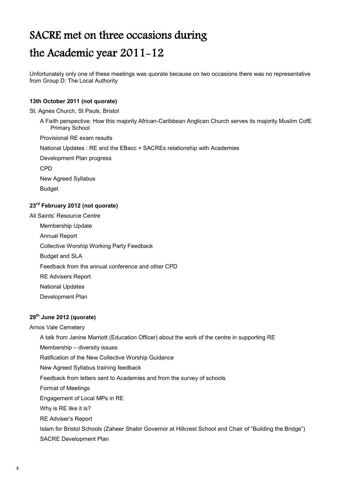# SACRE met on three occasions during the Academic year 2011-12

Unfortunately only one of these meetings was quorate because on two occasions there was no representative from Group D: The Local Authority

#### **13th October 2011 (not quorate)**

#### St. Agnes Church, St Pauls, Bristol

A Faith perspective: How this majority African-Caribbean Anglican Church serves its majority Muslim CofE Primary School

Provisional RE exam results

National Updates : RE and the EBacc + SACREs relationship with Academies

Development Plan progress

CPD

New Agreed Syllabus Budget

# **23rd February 2012 (not quorate)**

## All Saints' Resource Centre Membership Update Annual Report Collective Worship Working Party Feedback Budget and SLA Feedback from the annual conference and other CPD RE Advisers Report National Updates Development Plan

#### **29th June 2012 (quorate)**

#### Arnos Vale Cemetery

A talk from Janine Marriott (Education Officer) about the work of the centre in supporting RE

Membership – diversity issues

Ratification of the New Collective Worship Guidance

New Agreed Syllabus training feedback

Feedback from letters sent to Academies and from the survey of schools

Format of Meetings

Engagement of Local MPs in RE

Why is RE like it is?

RE Adviser's Report

Islam for Bristol Schools (Zaheer Shabir Governor at Hillcrest School and Chair of "Building the Bridge") SACRE Development Plan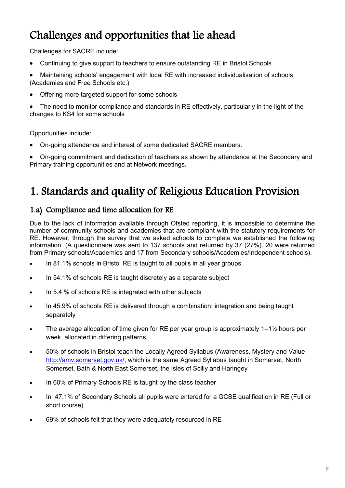# Challenges and opportunities that lie ahead

Challenges for SACRE include:

- Continuing to give support to teachers to ensure outstanding RE in Bristol Schools
- Maintaining schools' engagement with local RE with increased individualisation of schools (Academies and Free Schools etc.)
- Offering more targeted support for some schools
- The need to monitor compliance and standards in RE effectively, particularly in the light of the changes to KS4 for some schools

Opportunities include:

- On-going attendance and interest of some dedicated SACRE members.
- On-going commitment and dedication of teachers as shown by attendance at the Secondary and Primary training opportunities and at Network meetings.

# 1. Standards and quality of Religious Education Provision

## 1.a) Compliance and time allocation for RE

Due to the lack of information available through Ofsted reporting, it is impossible to determine the number of community schools and academies that are compliant with the statutory requirements for RE. However, through the survey that we asked schools to complete we established the following information. (A questionnaire was sent to 137 schools and returned by 37 (27%). 20 were returned from Primary schools/Academies and 17 from Secondary schools/Academies/Independent schools).

- In 81.1% schools in Bristol RE is taught to all pupils in all year groups.
- In 54.1% of schools RE is taught discretely as a separate subject
- In 5.4 % of schools RE is integrated with other subjects
- In 45.9% of schools RE is delivered through a combination: integration and being taught separately
- The average allocation of time given for RE per year group is approximately 1–1½ hours per week, allocated in differing patterns
- 50% of schools in Bristol teach the Locally Agreed Syllabus (Awareness, Mystery and Value [http://amv.somerset.gov.uk/,](http://amv.somerset.gov.uk/) which is the same Agreed Syllabus taught in Somerset, North Somerset, Bath & North East Somerset, the Isles of Scilly and Haringey
- In 60% of Primary Schools RE is taught by the class teacher
- In 47.1% of Secondary Schools all pupils were entered for a GCSE qualification in RE (Full or short course)
- 69% of schools felt that they were adequately resourced in RE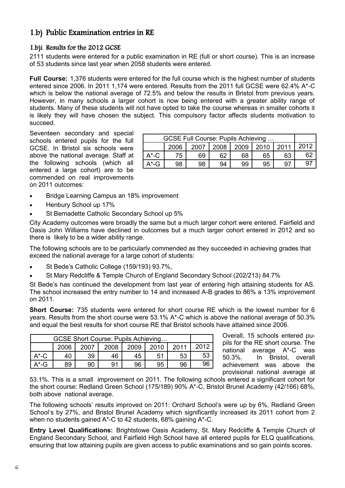## 1.b) Public Examination entries in RE

## 1.b)i Results for the 2012 GCSE

2111 students were entered for a public examination in RE (full or short course). This is an increase of 53 students since last year when 2058 students were entered.

**Full Course:** 1,376 students were entered for the full course which is the highest number of students entered since 2006. In 2011 1,174 were entered. Results from the 2011 full GCSE were 62.4% A\*-C which is below the national average of 72.5% and below the results in Bristol from previous years. However, in many schools a larger cohort is now being entered with a greater ability range of students. Many of these students will not have opted to take the course whereas in smaller cohorts it is likely they will have chosen the subject. This compulsory factor affects students motivation to succeed.

Seventeen secondary and special schools entered pupils for the full GCSE. In Bristol six schools were above the national average. Staff at the following schools (which all entered a large cohort) are to be commended on real improvements on 2011 outcomes:

| GCSE Full Course: Pupils Achieving |      |      |      |      |      |      |      |
|------------------------------------|------|------|------|------|------|------|------|
|                                    | 2006 | 2007 | 2008 | 2009 | 2010 | 2011 | 2012 |
| $A^{\star}$ -C                     | 75   | 69   | 62   | 68   | 65   | 63   | 62   |
| $A^*$ -G                           | 98   | 98   | 94   | 99   | 95   | -97  |      |
|                                    |      |      |      |      |      |      |      |

- Bridge Learning Campus an 18% improvement
- Henbury School up 17%
- St Bernadette Catholic Secondary School up 5%

City Academy outcomes were broadly the same but a much larger cohort were entered. Fairfield and Oasis John Williams have declined in outcomes but a much larger cohort entered in 2012 and so there is likely to be a wider ability range.

The following schools are to be particularly commended as they succeeded in achieving grades that exceed the national average for a large cohort of students:

- St Bede's Catholic College (159/193) 93.7%,
- St Mary Redcliffe & Temple Church of England Secondary School (202/213) 84.7%

St Bede's has continued the development from last year of entering high attaining students for AS. The school increased the entry number to 14 and increased A-B grades to 86% a 13% improvement on 2011.

**Short Course:** 735 students were entered for short course RE which is the lowest number for 6 years. Results from the short course were 53.1% A\*-C which is above the national average of 50.3% and equal the best results for short course RE that Bristol schools have attained since 2006.

| GCSE Short Course: Pupils Achieving |      |      |      |      |      |      |      |
|-------------------------------------|------|------|------|------|------|------|------|
|                                     | 2006 | 2007 | 2008 | 2009 | 2010 | 2011 | 2012 |
| $A^*$ -C                            |      | 39   | 46   | 45   | 51   | 53   | 53   |
| A*-G                                | 89   | 90   | 91   | 96   | 95   | 96   | 96   |

Overall, 15 schools entered pupils for the RE short course. The national average A\*-C was 50.3%. In Bristol, overall achievement was above the provisional national average at

53.1%. This is a small improvement on 2011. The following schools entered a significant cohort for the short course: Redland Green School (175/189) 90% A\*-C, Bristol Brunel Academy (42/166) 68%, both above national average.

The following schools' results improved on 2011: Orchard School's were up by 6%, Redland Green School's by 27%, and Bristol Brunel Academy which significantly increased its 2011 cohort from 2 when no students gained A\*-C to 42 students, 68% gaining A\*-C.

**Entry Level Qualifications:** Brightstowe Oasis Academy, St. Mary Redcliffe & Temple Church of England Secondary School, and Fairfield High School have all entered pupils for ELQ qualifications, ensuring that low attaining pupils are given access to public examinations and so gain points scores.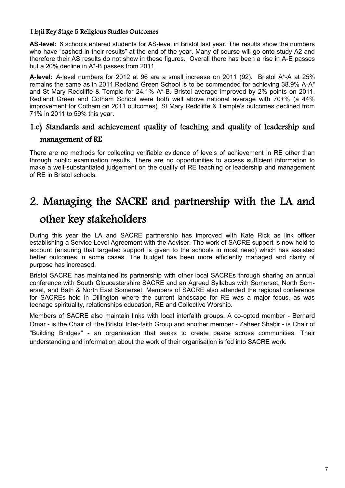#### 1.b)ii Key Stage 5 Religious Studies Outcomes

AS-level: 6 schools entered students for AS-level in Bristol last year. The results show the numbers who have "cashed in their results" at the end of the year. Many of course will go onto study A2 and therefore their AS results do not show in these figures. Overall there has been a rise in A-E passes but a 20% decline in A\*-B passes from 2011.

**A-level:** A-level numbers for 2012 at 96 are a small increase on 2011 (92). Bristol A\*-A at 25% remains the same as in 2011.Redland Green School is to be commended for achieving 38.9% A-A\* and St Mary Redcliffe & Temple for 24.1% A\*-B. Bristol average improved by 2% points on 2011. Redland Green and Cotham School were both well above national average with 70+% (a 44% improvement for Cotham on 2011 outcomes). St Mary Redcliffe & Temple's outcomes declined from 71% in 2011 to 59% this year.

## 1.c) Standards and achievement quality of teaching and quality of leadership and

## management of RE

There are no methods for collecting verifiable evidence of levels of achievement in RE other than through public examination results. There are no opportunities to access sufficient information to make a well-substantiated judgement on the quality of RE teaching or leadership and management of RE in Bristol schools.

# 2. Managing the SACRE and partnership with the LA and other key stakeholders

During this year the LA and SACRE partnership has improved with Kate Rick as link officer establishing a Service Level Agreement with the Adviser. The work of SACRE support is now held to account (ensuring that targeted support is given to the schools in most need) which has assisted better outcomes in some cases. The budget has been more efficiently managed and clarity of purpose has increased.

Bristol SACRE has maintained its partnership with other local SACREs through sharing an annual conference with South Gloucestershire SACRE and an Agreed Syllabus with Somerset, North Somerset, and Bath & North East Somerset. Members of SACRE also attended the regional conference for SACREs held in Dillington where the current landscape for RE was a major focus, as was teenage spirituality, relationships education, RE and Collective Worship.

Members of SACRE also maintain links with local interfaith groups. A co-opted member - Bernard Omar - is the Chair of the Bristol Inter-faith Group and another member - Zaheer Shabir - is Chair of "Building Bridges" - an organisation that seeks to create peace across communities. Their understanding and information about the work of their organisation is fed into SACRE work.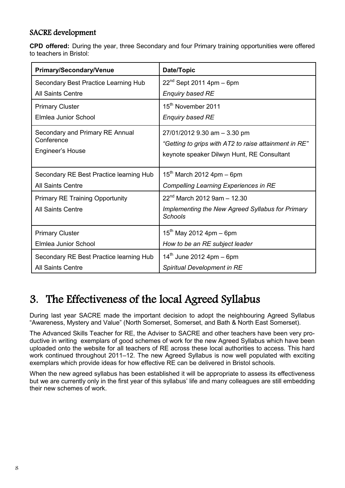## SACRE development

**CPD offered:** During the year, three Secondary and four Primary training opportunities were offered to teachers in Bristol:

| <b>Primary/Secondary/Venue</b>          | Date/Topic                                                         |  |  |  |
|-----------------------------------------|--------------------------------------------------------------------|--|--|--|
| Secondary Best Practice Learning Hub    | $22^{nd}$ Sept 2011 4pm – 6pm                                      |  |  |  |
| All Saints Centre                       | <b>Enquiry based RE</b>                                            |  |  |  |
| <b>Primary Cluster</b>                  | 15 <sup>th</sup> November 2011                                     |  |  |  |
| Elmlea Junior School                    | <b>Enquiry based RE</b>                                            |  |  |  |
| Secondary and Primary RE Annual         | 27/01/2012 9.30 am - 3.30 pm                                       |  |  |  |
| Conference                              | "Getting to grips with AT2 to raise attainment in RE"              |  |  |  |
| Engineer's House                        | keynote speaker Dilwyn Hunt, RE Consultant                         |  |  |  |
|                                         |                                                                    |  |  |  |
| Secondary RE Best Practice learning Hub | $15^{th}$ March 2012 4pm – 6pm                                     |  |  |  |
| <b>All Saints Centre</b>                | Compelling Learning Experiences in RE                              |  |  |  |
| <b>Primary RE Training Opportunity</b>  | $22^{nd}$ March 2012 9am - 12.30                                   |  |  |  |
| <b>All Saints Centre</b>                | Implementing the New Agreed Syllabus for Primary<br><b>Schools</b> |  |  |  |
| <b>Primary Cluster</b>                  | $15^{th}$ May 2012 4pm – 6pm                                       |  |  |  |
| Elmlea Junior School                    | How to be an RE subject leader                                     |  |  |  |
| Secondary RE Best Practice learning Hub | $14^{th}$ June 2012 4pm – 6pm                                      |  |  |  |
| <b>All Saints Centre</b>                | Spiritual Development in RE                                        |  |  |  |

# 3. The Effectiveness of the local Agreed Syllabus

During last year SACRE made the important decision to adopt the neighbouring Agreed Syllabus "Awareness, Mystery and Value" (North Somerset, Somerset, and Bath & North East Somerset).

The Advanced Skills Teacher for RE, the Adviser to SACRE and other teachers have been very productive in writing exemplars of good schemes of work for the new Agreed Syllabus which have been uploaded onto the website for all teachers of RE across these local authorities to access. This hard work continued throughout 2011–12. The new Agreed Syllabus is now well populated with exciting exemplars which provide ideas for how effective RE can be delivered in Bristol schools.

When the new agreed syllabus has been established it will be appropriate to assess its effectiveness but we are currently only in the first year of this syllabus' life and many colleagues are still embedding their new schemes of work.